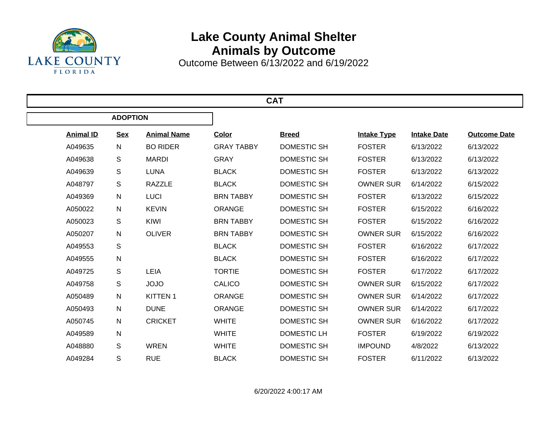

## **Lake County Animal Shelter Animals by Outcome**

Outcome Between 6/13/2022 and 6/19/2022

| <b>CAT</b>       |                 |                    |                   |                    |                    |                    |                     |  |  |  |
|------------------|-----------------|--------------------|-------------------|--------------------|--------------------|--------------------|---------------------|--|--|--|
|                  | <b>ADOPTION</b> |                    |                   |                    |                    |                    |                     |  |  |  |
| <b>Animal ID</b> | <b>Sex</b>      | <b>Animal Name</b> | <b>Color</b>      | <b>Breed</b>       | <b>Intake Type</b> | <b>Intake Date</b> | <b>Outcome Date</b> |  |  |  |
| A049635          | N               | <b>BO RIDER</b>    | <b>GRAY TABBY</b> | <b>DOMESTIC SH</b> | <b>FOSTER</b>      | 6/13/2022          | 6/13/2022           |  |  |  |
| A049638          | $\mathsf S$     | <b>MARDI</b>       | <b>GRAY</b>       | <b>DOMESTIC SH</b> | <b>FOSTER</b>      | 6/13/2022          | 6/13/2022           |  |  |  |
| A049639          | S               | <b>LUNA</b>        | <b>BLACK</b>      | <b>DOMESTIC SH</b> | <b>FOSTER</b>      | 6/13/2022          | 6/13/2022           |  |  |  |
| A048797          | S               | <b>RAZZLE</b>      | <b>BLACK</b>      | <b>DOMESTIC SH</b> | <b>OWNER SUR</b>   | 6/14/2022          | 6/15/2022           |  |  |  |
| A049369          | $\mathsf{N}$    | <b>LUCI</b>        | <b>BRN TABBY</b>  | <b>DOMESTIC SH</b> | <b>FOSTER</b>      | 6/13/2022          | 6/15/2022           |  |  |  |
| A050022          | N               | <b>KEVIN</b>       | <b>ORANGE</b>     | <b>DOMESTIC SH</b> | <b>FOSTER</b>      | 6/15/2022          | 6/16/2022           |  |  |  |
| A050023          | S               | KIWI               | <b>BRN TABBY</b>  | <b>DOMESTIC SH</b> | <b>FOSTER</b>      | 6/15/2022          | 6/16/2022           |  |  |  |
| A050207          | N               | <b>OLIVER</b>      | <b>BRN TABBY</b>  | <b>DOMESTIC SH</b> | <b>OWNER SUR</b>   | 6/15/2022          | 6/16/2022           |  |  |  |
| A049553          | S               |                    | <b>BLACK</b>      | <b>DOMESTIC SH</b> | <b>FOSTER</b>      | 6/16/2022          | 6/17/2022           |  |  |  |
| A049555          | ${\sf N}$       |                    | <b>BLACK</b>      | <b>DOMESTIC SH</b> | <b>FOSTER</b>      | 6/16/2022          | 6/17/2022           |  |  |  |
| A049725          | S               | LEIA               | <b>TORTIE</b>     | <b>DOMESTIC SH</b> | <b>FOSTER</b>      | 6/17/2022          | 6/17/2022           |  |  |  |
| A049758          | S               | <b>JOJO</b>        | <b>CALICO</b>     | <b>DOMESTIC SH</b> | <b>OWNER SUR</b>   | 6/15/2022          | 6/17/2022           |  |  |  |
| A050489          | $\mathsf{N}$    | <b>KITTEN1</b>     | <b>ORANGE</b>     | <b>DOMESTIC SH</b> | <b>OWNER SUR</b>   | 6/14/2022          | 6/17/2022           |  |  |  |
| A050493          | $\mathsf{N}$    | <b>DUNE</b>        | <b>ORANGE</b>     | <b>DOMESTIC SH</b> | <b>OWNER SUR</b>   | 6/14/2022          | 6/17/2022           |  |  |  |
| A050745          | $\mathsf{N}$    | <b>CRICKET</b>     | <b>WHITE</b>      | <b>DOMESTIC SH</b> | <b>OWNER SUR</b>   | 6/16/2022          | 6/17/2022           |  |  |  |
| A049589          | $\mathsf{N}$    |                    | <b>WHITE</b>      | <b>DOMESTIC LH</b> | <b>FOSTER</b>      | 6/19/2022          | 6/19/2022           |  |  |  |
| A048880          | S               | <b>WREN</b>        | <b>WHITE</b>      | <b>DOMESTIC SH</b> | <b>IMPOUND</b>     | 4/8/2022           | 6/13/2022           |  |  |  |
| A049284          | S               | <b>RUE</b>         | <b>BLACK</b>      | <b>DOMESTIC SH</b> | <b>FOSTER</b>      | 6/11/2022          | 6/13/2022           |  |  |  |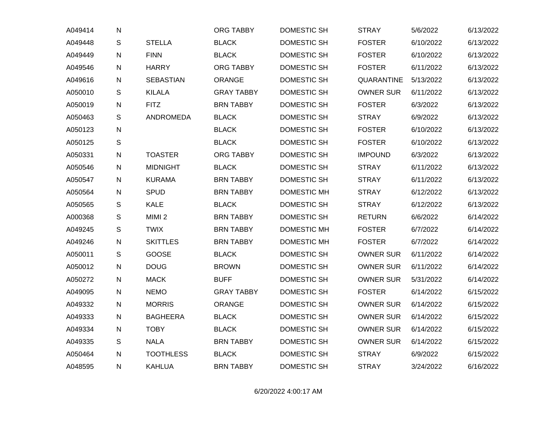| A049414 | $\mathsf{N}$  |                   | ORG TABBY         | <b>DOMESTIC SH</b> | <b>STRAY</b>     | 5/6/2022  | 6/13/2022 |
|---------|---------------|-------------------|-------------------|--------------------|------------------|-----------|-----------|
| A049448 | ${\mathsf S}$ | <b>STELLA</b>     | <b>BLACK</b>      | DOMESTIC SH        | <b>FOSTER</b>    | 6/10/2022 | 6/13/2022 |
| A049449 | $\mathsf{N}$  | <b>FINN</b>       | <b>BLACK</b>      | DOMESTIC SH        | <b>FOSTER</b>    | 6/10/2022 | 6/13/2022 |
| A049546 | $\mathsf{N}$  | <b>HARRY</b>      | <b>ORG TABBY</b>  | DOMESTIC SH        | <b>FOSTER</b>    | 6/11/2022 | 6/13/2022 |
| A049616 | ${\sf N}$     | <b>SEBASTIAN</b>  | ORANGE            | DOMESTIC SH        | QUARANTINE       | 5/13/2022 | 6/13/2022 |
| A050010 | ${\mathsf S}$ | <b>KILALA</b>     | <b>GRAY TABBY</b> | DOMESTIC SH        | <b>OWNER SUR</b> | 6/11/2022 | 6/13/2022 |
| A050019 | $\mathsf{N}$  | <b>FITZ</b>       | <b>BRN TABBY</b>  | DOMESTIC SH        | <b>FOSTER</b>    | 6/3/2022  | 6/13/2022 |
| A050463 | $\mathsf S$   | ANDROMEDA         | <b>BLACK</b>      | <b>DOMESTIC SH</b> | <b>STRAY</b>     | 6/9/2022  | 6/13/2022 |
| A050123 | $\mathsf{N}$  |                   | <b>BLACK</b>      | <b>DOMESTIC SH</b> | <b>FOSTER</b>    | 6/10/2022 | 6/13/2022 |
| A050125 | $\mathsf{s}$  |                   | <b>BLACK</b>      | DOMESTIC SH        | <b>FOSTER</b>    | 6/10/2022 | 6/13/2022 |
| A050331 | ${\sf N}$     | <b>TOASTER</b>    | <b>ORG TABBY</b>  | DOMESTIC SH        | <b>IMPOUND</b>   | 6/3/2022  | 6/13/2022 |
| A050546 | $\mathsf{N}$  | <b>MIDNIGHT</b>   | <b>BLACK</b>      | DOMESTIC SH        | <b>STRAY</b>     | 6/11/2022 | 6/13/2022 |
| A050547 | $\mathsf{N}$  | <b>KURAMA</b>     | <b>BRN TABBY</b>  | DOMESTIC SH        | <b>STRAY</b>     | 6/11/2022 | 6/13/2022 |
| A050564 | $\mathsf{N}$  | <b>SPUD</b>       | <b>BRN TABBY</b>  | DOMESTIC MH        | <b>STRAY</b>     | 6/12/2022 | 6/13/2022 |
| A050565 | ${\mathsf S}$ | KALE              | <b>BLACK</b>      | DOMESTIC SH        | <b>STRAY</b>     | 6/12/2022 | 6/13/2022 |
| A000368 | S             | MIMI <sub>2</sub> | <b>BRN TABBY</b>  | <b>DOMESTIC SH</b> | <b>RETURN</b>    | 6/6/2022  | 6/14/2022 |
| A049245 | $\mathsf{S}$  | <b>TWIX</b>       | <b>BRN TABBY</b>  | DOMESTIC MH        | <b>FOSTER</b>    | 6/7/2022  | 6/14/2022 |
| A049246 | ${\sf N}$     | <b>SKITTLES</b>   | <b>BRN TABBY</b>  | DOMESTIC MH        | <b>FOSTER</b>    | 6/7/2022  | 6/14/2022 |
| A050011 | $\mathsf S$   | GOOSE             | <b>BLACK</b>      | DOMESTIC SH        | <b>OWNER SUR</b> | 6/11/2022 | 6/14/2022 |
| A050012 | $\mathsf{N}$  | <b>DOUG</b>       | <b>BROWN</b>      | <b>DOMESTIC SH</b> | <b>OWNER SUR</b> | 6/11/2022 | 6/14/2022 |
| A050272 | $\mathsf{N}$  | <b>MACK</b>       | <b>BUFF</b>       | DOMESTIC SH        | <b>OWNER SUR</b> | 5/31/2022 | 6/14/2022 |
| A049095 | $\mathsf{N}$  | <b>NEMO</b>       | <b>GRAY TABBY</b> | DOMESTIC SH        | <b>FOSTER</b>    | 6/14/2022 | 6/15/2022 |
| A049332 | $\mathsf{N}$  | <b>MORRIS</b>     | <b>ORANGE</b>     | <b>DOMESTIC SH</b> | <b>OWNER SUR</b> | 6/14/2022 | 6/15/2022 |
| A049333 | $\mathsf{N}$  | <b>BAGHEERA</b>   | <b>BLACK</b>      | DOMESTIC SH        | <b>OWNER SUR</b> | 6/14/2022 | 6/15/2022 |
| A049334 | $\mathsf{N}$  | <b>TOBY</b>       | <b>BLACK</b>      | DOMESTIC SH        | <b>OWNER SUR</b> | 6/14/2022 | 6/15/2022 |
| A049335 | S             | <b>NALA</b>       | <b>BRN TABBY</b>  | DOMESTIC SH        | <b>OWNER SUR</b> | 6/14/2022 | 6/15/2022 |
| A050464 | ${\sf N}$     | <b>TOOTHLESS</b>  | <b>BLACK</b>      | DOMESTIC SH        | <b>STRAY</b>     | 6/9/2022  | 6/15/2022 |
| A048595 | ${\sf N}$     | <b>KAHLUA</b>     | <b>BRN TABBY</b>  | <b>DOMESTIC SH</b> | <b>STRAY</b>     | 3/24/2022 | 6/16/2022 |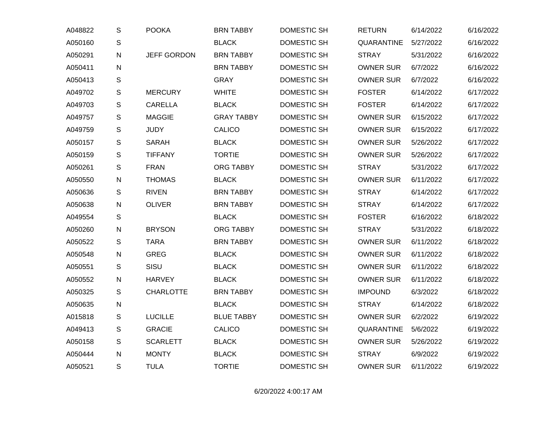| A048822 | $\mathbb S$   | <b>POOKA</b>       | <b>BRN TABBY</b>  | DOMESTIC SH        | <b>RETURN</b>    | 6/14/2022 | 6/16/2022 |
|---------|---------------|--------------------|-------------------|--------------------|------------------|-----------|-----------|
| A050160 | $\mathsf S$   |                    | <b>BLACK</b>      | DOMESTIC SH        | QUARANTINE       | 5/27/2022 | 6/16/2022 |
| A050291 | ${\sf N}$     | <b>JEFF GORDON</b> | <b>BRN TABBY</b>  | <b>DOMESTIC SH</b> | <b>STRAY</b>     | 5/31/2022 | 6/16/2022 |
| A050411 | ${\sf N}$     |                    | <b>BRN TABBY</b>  | DOMESTIC SH        | <b>OWNER SUR</b> | 6/7/2022  | 6/16/2022 |
| A050413 | ${\mathsf S}$ |                    | <b>GRAY</b>       | DOMESTIC SH        | <b>OWNER SUR</b> | 6/7/2022  | 6/16/2022 |
| A049702 | S             | <b>MERCURY</b>     | <b>WHITE</b>      | DOMESTIC SH        | <b>FOSTER</b>    | 6/14/2022 | 6/17/2022 |
| A049703 | $\mathsf S$   | <b>CARELLA</b>     | <b>BLACK</b>      | DOMESTIC SH        | <b>FOSTER</b>    | 6/14/2022 | 6/17/2022 |
| A049757 | $\mathbb S$   | <b>MAGGIE</b>      | <b>GRAY TABBY</b> | DOMESTIC SH        | <b>OWNER SUR</b> | 6/15/2022 | 6/17/2022 |
| A049759 | ${\mathsf S}$ | <b>JUDY</b>        | <b>CALICO</b>     | <b>DOMESTIC SH</b> | <b>OWNER SUR</b> | 6/15/2022 | 6/17/2022 |
| A050157 | $\mathsf{S}$  | <b>SARAH</b>       | <b>BLACK</b>      | DOMESTIC SH        | <b>OWNER SUR</b> | 5/26/2022 | 6/17/2022 |
| A050159 | $\mathsf{S}$  | <b>TIFFANY</b>     | <b>TORTIE</b>     | <b>DOMESTIC SH</b> | <b>OWNER SUR</b> | 5/26/2022 | 6/17/2022 |
| A050261 | ${\mathsf S}$ | <b>FRAN</b>        | <b>ORG TABBY</b>  | <b>DOMESTIC SH</b> | <b>STRAY</b>     | 5/31/2022 | 6/17/2022 |
| A050550 | $\mathsf{N}$  | <b>THOMAS</b>      | <b>BLACK</b>      | DOMESTIC SH        | <b>OWNER SUR</b> | 6/11/2022 | 6/17/2022 |
| A050636 | S             | <b>RIVEN</b>       | <b>BRN TABBY</b>  | DOMESTIC SH        | <b>STRAY</b>     | 6/14/2022 | 6/17/2022 |
| A050638 | $\mathsf{N}$  | <b>OLIVER</b>      | <b>BRN TABBY</b>  | DOMESTIC SH        | <b>STRAY</b>     | 6/14/2022 | 6/17/2022 |
| A049554 | $\mathsf S$   |                    | <b>BLACK</b>      | DOMESTIC SH        | <b>FOSTER</b>    | 6/16/2022 | 6/18/2022 |
| A050260 | ${\sf N}$     | <b>BRYSON</b>      | ORG TABBY         | DOMESTIC SH        | <b>STRAY</b>     | 5/31/2022 | 6/18/2022 |
| A050522 | $\mathsf{S}$  | <b>TARA</b>        | <b>BRN TABBY</b>  | DOMESTIC SH        | <b>OWNER SUR</b> | 6/11/2022 | 6/18/2022 |
| A050548 | $\mathsf{N}$  | <b>GREG</b>        | <b>BLACK</b>      | DOMESTIC SH        | <b>OWNER SUR</b> | 6/11/2022 | 6/18/2022 |
| A050551 | S             | SISU               | <b>BLACK</b>      | DOMESTIC SH        | <b>OWNER SUR</b> | 6/11/2022 | 6/18/2022 |
| A050552 | ${\sf N}$     | <b>HARVEY</b>      | <b>BLACK</b>      | DOMESTIC SH        | <b>OWNER SUR</b> | 6/11/2022 | 6/18/2022 |
| A050325 | ${\mathsf S}$ | <b>CHARLOTTE</b>   | <b>BRN TABBY</b>  | DOMESTIC SH        | <b>IMPOUND</b>   | 6/3/2022  | 6/18/2022 |
| A050635 | ${\sf N}$     |                    | <b>BLACK</b>      | DOMESTIC SH        | <b>STRAY</b>     | 6/14/2022 | 6/18/2022 |
| A015818 | ${\mathsf S}$ | <b>LUCILLE</b>     | <b>BLUE TABBY</b> | DOMESTIC SH        | <b>OWNER SUR</b> | 6/2/2022  | 6/19/2022 |
| A049413 | $\mathbb S$   | <b>GRACIE</b>      | CALICO            | DOMESTIC SH        | QUARANTINE       | 5/6/2022  | 6/19/2022 |
| A050158 | $\mathsf S$   | <b>SCARLETT</b>    | <b>BLACK</b>      | DOMESTIC SH        | <b>OWNER SUR</b> | 5/26/2022 | 6/19/2022 |
| A050444 | ${\sf N}$     | <b>MONTY</b>       | <b>BLACK</b>      | DOMESTIC SH        | <b>STRAY</b>     | 6/9/2022  | 6/19/2022 |
| A050521 | S             | <b>TULA</b>        | <b>TORTIE</b>     | <b>DOMESTIC SH</b> | <b>OWNER SUR</b> | 6/11/2022 | 6/19/2022 |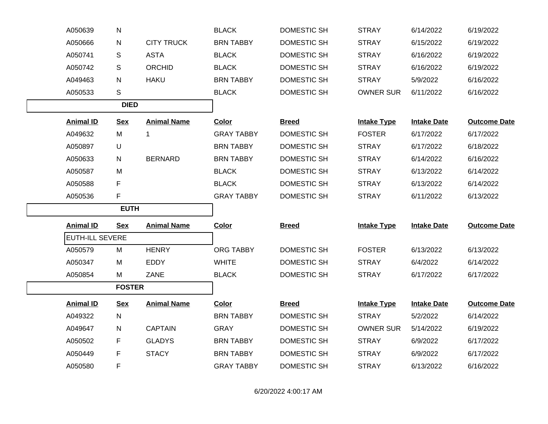| A050639                | N             |                    | <b>BLACK</b>      | DOMESTIC SH        | <b>STRAY</b>       | 6/14/2022          | 6/19/2022           |
|------------------------|---------------|--------------------|-------------------|--------------------|--------------------|--------------------|---------------------|
| A050666                | N             | <b>CITY TRUCK</b>  | <b>BRN TABBY</b>  | <b>DOMESTIC SH</b> | <b>STRAY</b>       | 6/15/2022          | 6/19/2022           |
| A050741                | S             | <b>ASTA</b>        | <b>BLACK</b>      | DOMESTIC SH        | <b>STRAY</b>       | 6/16/2022          | 6/19/2022           |
| A050742                | S             | <b>ORCHID</b>      | <b>BLACK</b>      | DOMESTIC SH        | <b>STRAY</b>       | 6/16/2022          | 6/19/2022           |
| A049463                | N             | <b>HAKU</b>        | <b>BRN TABBY</b>  | DOMESTIC SH        | <b>STRAY</b>       | 5/9/2022           | 6/16/2022           |
| A050533                | S             |                    | <b>BLACK</b>      | DOMESTIC SH        | <b>OWNER SUR</b>   | 6/11/2022          | 6/16/2022           |
|                        | <b>DIED</b>   |                    |                   |                    |                    |                    |                     |
| <b>Animal ID</b>       | <b>Sex</b>    | <b>Animal Name</b> | Color             | <b>Breed</b>       | <b>Intake Type</b> | <b>Intake Date</b> | <b>Outcome Date</b> |
| A049632                | M             | 1                  | <b>GRAY TABBY</b> | DOMESTIC SH        | <b>FOSTER</b>      | 6/17/2022          | 6/17/2022           |
| A050897                | U             |                    | <b>BRN TABBY</b>  | DOMESTIC SH        | <b>STRAY</b>       | 6/17/2022          | 6/18/2022           |
| A050633                | N.            | <b>BERNARD</b>     | <b>BRN TABBY</b>  | DOMESTIC SH        | <b>STRAY</b>       | 6/14/2022          | 6/16/2022           |
| A050587                | M             |                    | <b>BLACK</b>      | DOMESTIC SH        | <b>STRAY</b>       | 6/13/2022          | 6/14/2022           |
| A050588                | F.            |                    | <b>BLACK</b>      | DOMESTIC SH        | <b>STRAY</b>       | 6/13/2022          | 6/14/2022           |
| A050536                | F.            |                    | <b>GRAY TABBY</b> | DOMESTIC SH        | <b>STRAY</b>       | 6/11/2022          | 6/13/2022           |
| <b>EUTH</b>            |               |                    |                   |                    |                    |                    |                     |
| <b>Animal ID</b>       | <b>Sex</b>    | <b>Animal Name</b> | Color             | <b>Breed</b>       | <b>Intake Type</b> | <b>Intake Date</b> | <b>Outcome Date</b> |
| <b>EUTH-ILL SEVERE</b> |               |                    |                   |                    |                    |                    |                     |
| A050579                | M             | <b>HENRY</b>       | ORG TABBY         | DOMESTIC SH        | <b>FOSTER</b>      | 6/13/2022          | 6/13/2022           |
| A050347                | М             | <b>EDDY</b>        | <b>WHITE</b>      | DOMESTIC SH        | <b>STRAY</b>       | 6/4/2022           | 6/14/2022           |
| A050854                | M             | ZANE               | <b>BLACK</b>      | DOMESTIC SH        | <b>STRAY</b>       | 6/17/2022          | 6/17/2022           |
|                        | <b>FOSTER</b> |                    |                   |                    |                    |                    |                     |
| <b>Animal ID</b>       | <b>Sex</b>    | <b>Animal Name</b> | <b>Color</b>      | <b>Breed</b>       | <b>Intake Type</b> | <b>Intake Date</b> | <b>Outcome Date</b> |
| A049322                | N             |                    | <b>BRN TABBY</b>  | DOMESTIC SH        | <b>STRAY</b>       | 5/2/2022           | 6/14/2022           |
| A049647                | N             | <b>CAPTAIN</b>     | <b>GRAY</b>       | DOMESTIC SH        | <b>OWNER SUR</b>   | 5/14/2022          | 6/19/2022           |
| A050502                | F             | <b>GLADYS</b>      | <b>BRN TABBY</b>  | DOMESTIC SH        | <b>STRAY</b>       | 6/9/2022           | 6/17/2022           |
| A050449                | F.            | <b>STACY</b>       | <b>BRN TABBY</b>  | DOMESTIC SH        | <b>STRAY</b>       | 6/9/2022           | 6/17/2022           |
| A050580                | F             |                    | <b>GRAY TABBY</b> | DOMESTIC SH        | <b>STRAY</b>       | 6/13/2022          | 6/16/2022           |
|                        |               |                    |                   |                    |                    |                    |                     |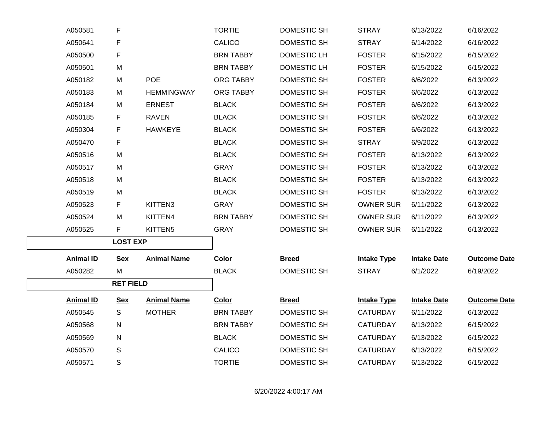| A050581          | F                |                    | <b>TORTIE</b>    | DOMESTIC SH        | <b>STRAY</b>       | 6/13/2022          | 6/16/2022           |
|------------------|------------------|--------------------|------------------|--------------------|--------------------|--------------------|---------------------|
| A050641          | F                |                    | <b>CALICO</b>    | DOMESTIC SH        | <b>STRAY</b>       | 6/14/2022          | 6/16/2022           |
| A050500          | F                |                    | <b>BRN TABBY</b> | DOMESTIC LH        | <b>FOSTER</b>      | 6/15/2022          | 6/15/2022           |
| A050501          | M                |                    | <b>BRN TABBY</b> | <b>DOMESTIC LH</b> | <b>FOSTER</b>      | 6/15/2022          | 6/15/2022           |
| A050182          | M                | <b>POE</b>         | ORG TABBY        | DOMESTIC SH        | <b>FOSTER</b>      | 6/6/2022           | 6/13/2022           |
| A050183          | M                | <b>HEMMINGWAY</b>  | ORG TABBY        | DOMESTIC SH        | <b>FOSTER</b>      | 6/6/2022           | 6/13/2022           |
| A050184          | M                | <b>ERNEST</b>      | <b>BLACK</b>     | DOMESTIC SH        | <b>FOSTER</b>      | 6/6/2022           | 6/13/2022           |
| A050185          | F.               | <b>RAVEN</b>       | <b>BLACK</b>     | DOMESTIC SH        | <b>FOSTER</b>      | 6/6/2022           | 6/13/2022           |
| A050304          | F                | <b>HAWKEYE</b>     | <b>BLACK</b>     | DOMESTIC SH        | <b>FOSTER</b>      | 6/6/2022           | 6/13/2022           |
| A050470          | F                |                    | <b>BLACK</b>     | DOMESTIC SH        | <b>STRAY</b>       | 6/9/2022           | 6/13/2022           |
| A050516          | M                |                    | <b>BLACK</b>     | DOMESTIC SH        | <b>FOSTER</b>      | 6/13/2022          | 6/13/2022           |
| A050517          | M                |                    | <b>GRAY</b>      | DOMESTIC SH        | <b>FOSTER</b>      | 6/13/2022          | 6/13/2022           |
| A050518          | M                |                    | <b>BLACK</b>     | DOMESTIC SH        | <b>FOSTER</b>      | 6/13/2022          | 6/13/2022           |
| A050519          | M                |                    | <b>BLACK</b>     | DOMESTIC SH        | <b>FOSTER</b>      | 6/13/2022          | 6/13/2022           |
| A050523          | F                | KITTEN3            | <b>GRAY</b>      | <b>DOMESTIC SH</b> | <b>OWNER SUR</b>   | 6/11/2022          | 6/13/2022           |
| A050524          | M                | KITTEN4            | <b>BRN TABBY</b> | DOMESTIC SH        | <b>OWNER SUR</b>   | 6/11/2022          | 6/13/2022           |
| A050525          | F.               | KITTEN5            | <b>GRAY</b>      | DOMESTIC SH        | <b>OWNER SUR</b>   | 6/11/2022          | 6/13/2022           |
|                  | <b>LOST EXP</b>  |                    |                  |                    |                    |                    |                     |
| <b>Animal ID</b> | <b>Sex</b>       | <b>Animal Name</b> | <b>Color</b>     | <b>Breed</b>       | <b>Intake Type</b> | <b>Intake Date</b> | <b>Outcome Date</b> |
| A050282          | M                |                    | <b>BLACK</b>     | DOMESTIC SH        | <b>STRAY</b>       | 6/1/2022           | 6/19/2022           |
|                  | <b>RET FIELD</b> |                    |                  |                    |                    |                    |                     |
| <b>Animal ID</b> | <b>Sex</b>       | <b>Animal Name</b> | <b>Color</b>     | <b>Breed</b>       | <b>Intake Type</b> | <b>Intake Date</b> | <b>Outcome Date</b> |
| A050545          | S                | <b>MOTHER</b>      | <b>BRN TABBY</b> | DOMESTIC SH        | <b>CATURDAY</b>    | 6/11/2022          | 6/13/2022           |
| A050568          | N                |                    | <b>BRN TABBY</b> | DOMESTIC SH        | <b>CATURDAY</b>    | 6/13/2022          | 6/15/2022           |
| A050569          | N                |                    | <b>BLACK</b>     | DOMESTIC SH        | <b>CATURDAY</b>    | 6/13/2022          | 6/15/2022           |
| A050570          | S                |                    | <b>CALICO</b>    | DOMESTIC SH        | <b>CATURDAY</b>    | 6/13/2022          | 6/15/2022           |
| A050571          | S                |                    | <b>TORTIE</b>    | <b>DOMESTIC SH</b> | <b>CATURDAY</b>    | 6/13/2022          | 6/15/2022           |
|                  |                  |                    |                  |                    |                    |                    |                     |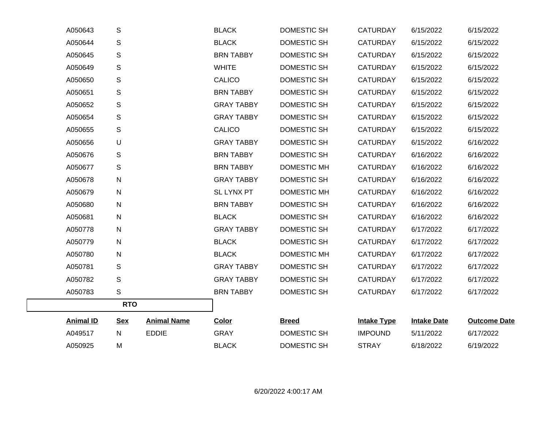| A050643          | S            |                    | <b>BLACK</b>      | DOMESTIC SH        | <b>CATURDAY</b>    | 6/15/2022          | 6/15/2022           |
|------------------|--------------|--------------------|-------------------|--------------------|--------------------|--------------------|---------------------|
| A050644          | S            |                    | <b>BLACK</b>      | DOMESTIC SH        | <b>CATURDAY</b>    | 6/15/2022          | 6/15/2022           |
| A050645          | $\mathbb S$  |                    | <b>BRN TABBY</b>  | <b>DOMESTIC SH</b> | <b>CATURDAY</b>    | 6/15/2022          | 6/15/2022           |
| A050649          | $\mathsf S$  |                    | <b>WHITE</b>      | <b>DOMESTIC SH</b> | <b>CATURDAY</b>    | 6/15/2022          | 6/15/2022           |
| A050650          | $\mathsf S$  |                    | <b>CALICO</b>     | <b>DOMESTIC SH</b> | <b>CATURDAY</b>    | 6/15/2022          | 6/15/2022           |
| A050651          | $\mathbb S$  |                    | <b>BRN TABBY</b>  | <b>DOMESTIC SH</b> | <b>CATURDAY</b>    | 6/15/2022          | 6/15/2022           |
| A050652          | $\mathbb S$  |                    | <b>GRAY TABBY</b> | DOMESTIC SH        | <b>CATURDAY</b>    | 6/15/2022          | 6/15/2022           |
| A050654          | $\mathsf S$  |                    | <b>GRAY TABBY</b> | <b>DOMESTIC SH</b> | <b>CATURDAY</b>    | 6/15/2022          | 6/15/2022           |
| A050655          | $\mathsf S$  |                    | <b>CALICO</b>     | <b>DOMESTIC SH</b> | <b>CATURDAY</b>    | 6/15/2022          | 6/15/2022           |
| A050656          | U            |                    | <b>GRAY TABBY</b> | DOMESTIC SH        | <b>CATURDAY</b>    | 6/15/2022          | 6/16/2022           |
| A050676          | S            |                    | <b>BRN TABBY</b>  | DOMESTIC SH        | <b>CATURDAY</b>    | 6/16/2022          | 6/16/2022           |
| A050677          | $\mathbb S$  |                    | <b>BRN TABBY</b>  | DOMESTIC MH        | <b>CATURDAY</b>    | 6/16/2022          | 6/16/2022           |
| A050678          | ${\sf N}$    |                    | <b>GRAY TABBY</b> | <b>DOMESTIC SH</b> | <b>CATURDAY</b>    | 6/16/2022          | 6/16/2022           |
| A050679          | $\mathsf{N}$ |                    | <b>SL LYNX PT</b> | <b>DOMESTIC MH</b> | <b>CATURDAY</b>    | 6/16/2022          | 6/16/2022           |
| A050680          | $\mathsf{N}$ |                    | <b>BRN TABBY</b>  | <b>DOMESTIC SH</b> | <b>CATURDAY</b>    | 6/16/2022          | 6/16/2022           |
| A050681          | $\mathsf{N}$ |                    | <b>BLACK</b>      | DOMESTIC SH        | <b>CATURDAY</b>    | 6/16/2022          | 6/16/2022           |
| A050778          | $\mathsf{N}$ |                    | <b>GRAY TABBY</b> | DOMESTIC SH        | <b>CATURDAY</b>    | 6/17/2022          | 6/17/2022           |
| A050779          | $\mathsf{N}$ |                    | <b>BLACK</b>      | DOMESTIC SH        | <b>CATURDAY</b>    | 6/17/2022          | 6/17/2022           |
| A050780          | N            |                    | <b>BLACK</b>      | DOMESTIC MH        | <b>CATURDAY</b>    | 6/17/2022          | 6/17/2022           |
| A050781          | S            |                    | <b>GRAY TABBY</b> | DOMESTIC SH        | <b>CATURDAY</b>    | 6/17/2022          | 6/17/2022           |
| A050782          | $\mathbb S$  |                    | <b>GRAY TABBY</b> | DOMESTIC SH        | <b>CATURDAY</b>    | 6/17/2022          | 6/17/2022           |
| A050783          | $\mathbb S$  |                    | <b>BRN TABBY</b>  | DOMESTIC SH        | <b>CATURDAY</b>    | 6/17/2022          | 6/17/2022           |
|                  | <b>RTO</b>   |                    |                   |                    |                    |                    |                     |
| <b>Animal ID</b> | <b>Sex</b>   | <b>Animal Name</b> | <b>Color</b>      | <b>Breed</b>       | <b>Intake Type</b> | <b>Intake Date</b> | <b>Outcome Date</b> |
| A049517          | N            | <b>EDDIE</b>       | <b>GRAY</b>       | DOMESTIC SH        | <b>IMPOUND</b>     | 5/11/2022          | 6/17/2022           |
| A050925          | M            |                    | <b>BLACK</b>      | DOMESTIC SH        | <b>STRAY</b>       | 6/18/2022          | 6/19/2022           |
|                  |              |                    |                   |                    |                    |                    |                     |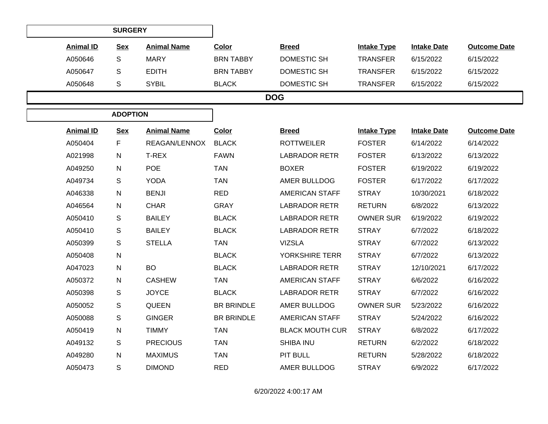| <b>SURGERY</b>   |            |                    |                  |              |                    |                    |                     |  |  |  |
|------------------|------------|--------------------|------------------|--------------|--------------------|--------------------|---------------------|--|--|--|
| <b>Animal ID</b> | <b>Sex</b> | <b>Animal Name</b> | <b>Color</b>     | <b>Breed</b> | <b>Intake Type</b> | <b>Intake Date</b> | <b>Outcome Date</b> |  |  |  |
| A050646          | S          | MARY               | <b>BRN TABBY</b> | DOMESTIC SH  | <b>TRANSFER</b>    | 6/15/2022          | 6/15/2022           |  |  |  |
| A050647          | S          | <b>EDITH</b>       | <b>BRN TABBY</b> | DOMESTIC SH  | <b>TRANSFER</b>    | 6/15/2022          | 6/15/2022           |  |  |  |
| A050648          | S          | <b>SYBIL</b>       | <b>BLACK</b>     | DOMESTIC SH  | <b>TRANSFER</b>    | 6/15/2022          | 6/15/2022           |  |  |  |
| <b>DOG</b>       |            |                    |                  |              |                    |                    |                     |  |  |  |
| <b>ADOPTION</b>  |            |                    |                  |              |                    |                    |                     |  |  |  |

| <b>Animal ID</b> | <b>Sex</b>   | <b>Animal Name</b> | <b>Color</b>      | <b>Breed</b>           | <b>Intake Type</b> | <b>Intake Date</b> | <b>Outcome Date</b> |
|------------------|--------------|--------------------|-------------------|------------------------|--------------------|--------------------|---------------------|
| A050404          | F.           | REAGAN/LENNOX      | <b>BLACK</b>      | <b>ROTTWEILER</b>      | <b>FOSTER</b>      | 6/14/2022          | 6/14/2022           |
| A021998          | $\mathsf{N}$ | T-REX              | <b>FAWN</b>       | <b>LABRADOR RETR</b>   | <b>FOSTER</b>      | 6/13/2022          | 6/13/2022           |
| A049250          | $\mathsf{N}$ | <b>POE</b>         | <b>TAN</b>        | <b>BOXER</b>           | <b>FOSTER</b>      | 6/19/2022          | 6/19/2022           |
| A049734          | S            | <b>YODA</b>        | <b>TAN</b>        | AMER BULLDOG           | <b>FOSTER</b>      | 6/17/2022          | 6/17/2022           |
| A046338          | $\mathsf{N}$ | <b>BENJI</b>       | <b>RED</b>        | <b>AMERICAN STAFF</b>  | <b>STRAY</b>       | 10/30/2021         | 6/18/2022           |
| A046564          | $\mathsf{N}$ | <b>CHAR</b>        | <b>GRAY</b>       | <b>LABRADOR RETR</b>   | <b>RETURN</b>      | 6/8/2022           | 6/13/2022           |
| A050410          | S            | <b>BAILEY</b>      | <b>BLACK</b>      | <b>LABRADOR RETR</b>   | <b>OWNER SUR</b>   | 6/19/2022          | 6/19/2022           |
| A050410          | S            | <b>BAILEY</b>      | <b>BLACK</b>      | <b>LABRADOR RETR</b>   | <b>STRAY</b>       | 6/7/2022           | 6/18/2022           |
| A050399          | S            | <b>STELLA</b>      | <b>TAN</b>        | <b>VIZSLA</b>          | <b>STRAY</b>       | 6/7/2022           | 6/13/2022           |
| A050408          | ${\sf N}$    |                    | <b>BLACK</b>      | YORKSHIRE TERR         | <b>STRAY</b>       | 6/7/2022           | 6/13/2022           |
| A047023          | $\mathsf{N}$ | <b>BO</b>          | <b>BLACK</b>      | <b>LABRADOR RETR</b>   | <b>STRAY</b>       | 12/10/2021         | 6/17/2022           |
| A050372          | N            | <b>CASHEW</b>      | <b>TAN</b>        | <b>AMERICAN STAFF</b>  | <b>STRAY</b>       | 6/6/2022           | 6/16/2022           |
| A050398          | $\mathsf{s}$ | <b>JOYCE</b>       | <b>BLACK</b>      | <b>LABRADOR RETR</b>   | <b>STRAY</b>       | 6/7/2022           | 6/16/2022           |
| A050052          | S            | <b>QUEEN</b>       | <b>BR BRINDLE</b> | AMER BULLDOG           | <b>OWNER SUR</b>   | 5/23/2022          | 6/16/2022           |
| A050088          | S            | <b>GINGER</b>      | <b>BR BRINDLE</b> | <b>AMERICAN STAFF</b>  | <b>STRAY</b>       | 5/24/2022          | 6/16/2022           |
| A050419          | $\mathsf{N}$ | <b>TIMMY</b>       | <b>TAN</b>        | <b>BLACK MOUTH CUR</b> | <b>STRAY</b>       | 6/8/2022           | 6/17/2022           |
| A049132          | S            | <b>PRECIOUS</b>    | <b>TAN</b>        | SHIBA INU              | <b>RETURN</b>      | 6/2/2022           | 6/18/2022           |
| A049280          | $\mathsf{N}$ | <b>MAXIMUS</b>     | <b>TAN</b>        | PIT BULL               | <b>RETURN</b>      | 5/28/2022          | 6/18/2022           |
| A050473          | $\mathsf{s}$ | <b>DIMOND</b>      | <b>RED</b>        | AMER BULLDOG           | <b>STRAY</b>       | 6/9/2022           | 6/17/2022           |
|                  |              |                    |                   |                        |                    |                    |                     |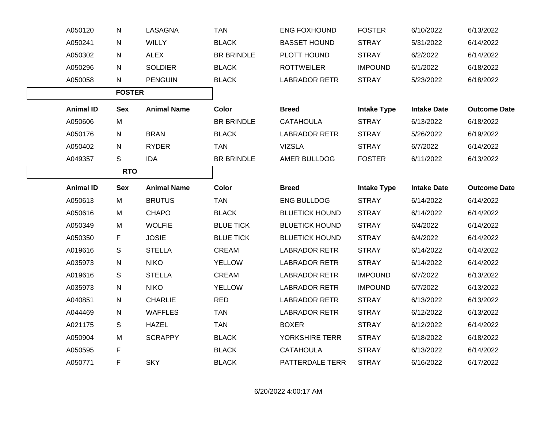| A050120          | N             | LASAGNA            | <b>TAN</b>        | ENG FOXHOUND          | <b>FOSTER</b>      | 6/10/2022          | 6/13/2022           |
|------------------|---------------|--------------------|-------------------|-----------------------|--------------------|--------------------|---------------------|
| A050241          | $\mathsf{N}$  | <b>WILLY</b>       | <b>BLACK</b>      | <b>BASSET HOUND</b>   | <b>STRAY</b>       | 5/31/2022          | 6/14/2022           |
| A050302          | N             | <b>ALEX</b>        | <b>BR BRINDLE</b> | PLOTT HOUND           | <b>STRAY</b>       | 6/2/2022           | 6/14/2022           |
| A050296          | $\mathsf{N}$  | <b>SOLDIER</b>     | <b>BLACK</b>      | <b>ROTTWEILER</b>     | <b>IMPOUND</b>     | 6/1/2022           | 6/18/2022           |
| A050058          | $\mathsf{N}$  | <b>PENGUIN</b>     | <b>BLACK</b>      | <b>LABRADOR RETR</b>  | <b>STRAY</b>       | 5/23/2022          | 6/18/2022           |
|                  | <b>FOSTER</b> |                    |                   |                       |                    |                    |                     |
| <b>Animal ID</b> | <u>Sex</u>    | <b>Animal Name</b> | <b>Color</b>      | <b>Breed</b>          | <b>Intake Type</b> | <b>Intake Date</b> | <b>Outcome Date</b> |
| A050606          | M             |                    | BR BRINDLE        | <b>CATAHOULA</b>      | <b>STRAY</b>       | 6/13/2022          | 6/18/2022           |
| A050176          | N             | <b>BRAN</b>        | <b>BLACK</b>      | <b>LABRADOR RETR</b>  | <b>STRAY</b>       | 5/26/2022          | 6/19/2022           |
| A050402          | N             | <b>RYDER</b>       | <b>TAN</b>        | <b>VIZSLA</b>         | <b>STRAY</b>       | 6/7/2022           | 6/14/2022           |
| A049357          | S             | <b>IDA</b>         | <b>BR BRINDLE</b> | AMER BULLDOG          | <b>FOSTER</b>      | 6/11/2022          | 6/13/2022           |
| <b>RTO</b>       |               |                    |                   |                       |                    |                    |                     |
| <b>Animal ID</b> | <b>Sex</b>    | <b>Animal Name</b> | <b>Color</b>      | <b>Breed</b>          | <b>Intake Type</b> | <b>Intake Date</b> | <b>Outcome Date</b> |
| A050613          | M             | <b>BRUTUS</b>      | <b>TAN</b>        | ENG BULLDOG           | <b>STRAY</b>       | 6/14/2022          | 6/14/2022           |
| A050616          | M             | <b>CHAPO</b>       | <b>BLACK</b>      | <b>BLUETICK HOUND</b> | <b>STRAY</b>       | 6/14/2022          | 6/14/2022           |
| A050349          | M             | <b>WOLFIE</b>      | <b>BLUE TICK</b>  | <b>BLUETICK HOUND</b> | <b>STRAY</b>       | 6/4/2022           | 6/14/2022           |
| A050350          | F             | <b>JOSIE</b>       | <b>BLUE TICK</b>  | <b>BLUETICK HOUND</b> | <b>STRAY</b>       | 6/4/2022           | 6/14/2022           |
| A019616          | S             | <b>STELLA</b>      | CREAM             | <b>LABRADOR RETR</b>  | <b>STRAY</b>       | 6/14/2022          | 6/14/2022           |
| A035973          | N             | <b>NIKO</b>        | <b>YELLOW</b>     | <b>LABRADOR RETR</b>  | <b>STRAY</b>       | 6/14/2022          | 6/14/2022           |
| A019616          | S             | <b>STELLA</b>      | CREAM             | <b>LABRADOR RETR</b>  | <b>IMPOUND</b>     | 6/7/2022           | 6/13/2022           |
| A035973          | ${\sf N}$     | <b>NIKO</b>        | <b>YELLOW</b>     | <b>LABRADOR RETR</b>  | <b>IMPOUND</b>     | 6/7/2022           | 6/13/2022           |
| A040851          | ${\sf N}$     | <b>CHARLIE</b>     | <b>RED</b>        | <b>LABRADOR RETR</b>  | <b>STRAY</b>       | 6/13/2022          | 6/13/2022           |
| A044469          | N             | <b>WAFFLES</b>     | <b>TAN</b>        | <b>LABRADOR RETR</b>  | <b>STRAY</b>       | 6/12/2022          | 6/13/2022           |
| A021175          | S             | <b>HAZEL</b>       | <b>TAN</b>        | <b>BOXER</b>          | <b>STRAY</b>       | 6/12/2022          | 6/14/2022           |
| A050904          | M             | <b>SCRAPPY</b>     | <b>BLACK</b>      | YORKSHIRE TERR        | <b>STRAY</b>       | 6/18/2022          | 6/18/2022           |
| A050595          | F.            |                    | <b>BLACK</b>      | <b>CATAHOULA</b>      | <b>STRAY</b>       | 6/13/2022          | 6/14/2022           |
| A050771          | F             | <b>SKY</b>         | <b>BLACK</b>      | PATTERDALE TERR       | <b>STRAY</b>       | 6/16/2022          | 6/17/2022           |
|                  |               |                    |                   |                       |                    |                    |                     |